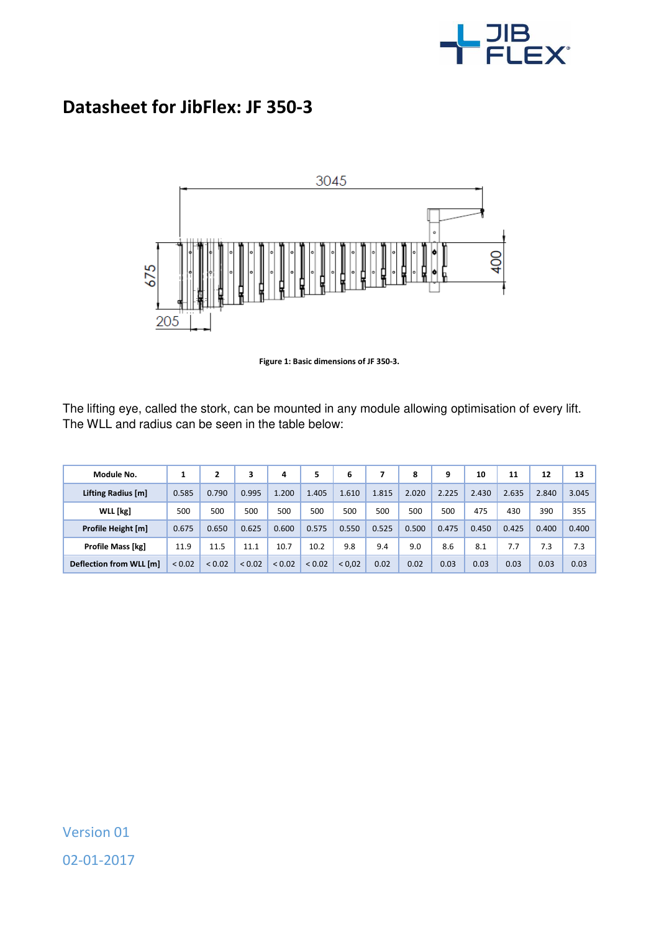

## **Datasheet for JibFlex: JF 350-3**



**Figure 1: Basic dimensions of JF 350-3.** 

The lifting eye, called the stork, can be mounted in any module allowing optimisation of every lift. The WLL and radius can be seen in the table below:

| Module No.               |        |        | 3           | 4           | 5      | 6      |       | 8     | 9     | 10    | 11    | 12    | 13    |
|--------------------------|--------|--------|-------------|-------------|--------|--------|-------|-------|-------|-------|-------|-------|-------|
| Lifting Radius [m]       | 0.585  | 0.790  | 0.995       | 1.200       | 1.405  | 1.610  | 1.815 | 2.020 | 2.225 | 2.430 | 2.635 | 2.840 | 3.045 |
| WLL [kg]                 | 500    | 500    | 500         | 500         | 500    | 500    | 500   | 500   | 500   | 475   | 430   | 390   | 355   |
| Profile Height [m]       | 0.675  | 0.650  | 0.625       | 0.600       | 0.575  | 0.550  | 0.525 | 0.500 | 0.475 | 0.450 | 0.425 | 0.400 | 0.400 |
| <b>Profile Mass [kg]</b> | 11.9   | 11.5   | 11.1        | 10.7        | 10.2   | 9.8    | 9.4   | 9.0   | 8.6   | 8.1   | 7.7   | 7.3   | 7.3   |
| Deflection from WLL [m]  | < 0.02 | < 0.02 | ${}_{0.02}$ | ${}_{0.02}$ | < 0.02 | < 0.02 | 0.02  | 0.02  | 0.03  | 0.03  | 0.03  | 0.03  | 0.03  |